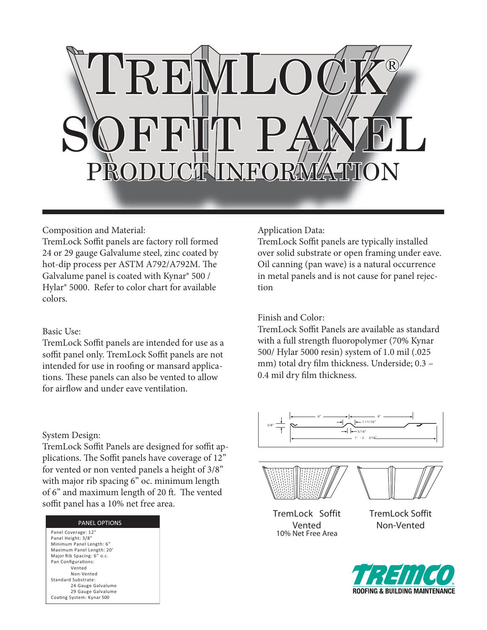

# Composition and Material:

TremLock Soffit panels are factory roll formed 24 or 29 gauge Galvalume steel, zinc coated by hot-dip process per ASTM A792/A792M. The Galvalume panel is coated with Kynar® 500 / Hylar® 5000. Refer to color chart for available colors.

#### Basic Use:

TremLock Soffit panels are intended for use as a soffit panel only. TremLock Soffit panels are not intended for use in roofing or mansard applications. These panels can also be vented to allow for airflow and under eave ventilation.

# Application Data:

TremLock Soffit panels are typically installed over solid substrate or open framing under eave. Oil canning (pan wave) is a natural occurrence in metal panels and is not cause for panel rejection

# Finish and Color:

TremLock Soffit Panels are available as standard with a full strength fluoropolymer (70% Kynar 500/ Hylar 5000 resin) system of 1.0 mil (.025 mm) total dry film thickness. Underside; 0.3 -0.4 mil dry film thickness.

## System Design:

TremLock Soffit Panels are designed for soffit applications. The Soffit panels have coverage of 12" for vented or non vented panels a height of 3/8" with major rib spacing 6" oc. minimum length of 6" and maximum length of 20 ft. The vented soffit panel has a 10% net free area.

| <b>PANEL OPTIONS</b>       |
|----------------------------|
| Panel Coverage: 12"        |
| Panel Height: 3/8"         |
| Minimum Panel Length: 6"   |
| Maximum Panel Length: 20'  |
| Maior Rib Spacing: 6" o.c. |
| Pan Configurations:        |
| Vented                     |
| Non-Vented                 |
| Standard Substrate:        |
| 24 Gauge Galvalume         |
| 29 Gauge Galvalume         |
| Coating System: Kynar 500  |
|                            |







TremLock Soffit Vented 10% Net Free Area

TremLock Soffit Non-Vented